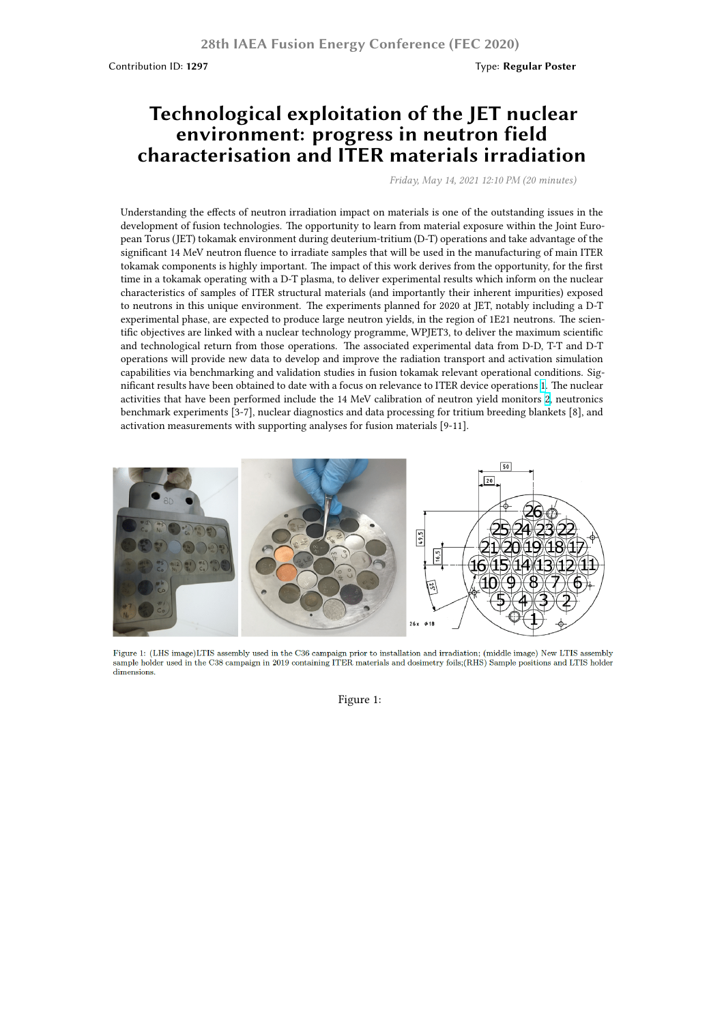# **Technological exploitation of the JET nuclear environment: progress in neutron field characterisation and ITER materials irradiation**

*Friday, May 14, 2021 12:10 PM (20 minutes)*

Understanding the effects of neutron irradiation impact on materials is one of the outstanding issues in the development of fusion technologies. The opportunity to learn from material exposure within the Joint European Torus (JET) tokamak environment during deuterium-tritium (D-T) operations and take advantage of the significant 14 MeV neutron fluence to irradiate samples that will be used in the manufacturing of main ITER tokamak components is highly important. The impact of this work derives from the opportunity, for the first time in a tokamak operating with a D-T plasma, to deliver experimental results which inform on the nuclear characteristics of samples of ITER structural materials (and importantly their inherent impurities) exposed to neutrons in this unique environment. The experiments planned for 2020 at JET, notably including a D-T experimental phase, are expected to produce large neutron yields, in the region of 1E21 neutrons. The scientific objectives are linked with a nuclear technology programme, WPJET3, to deliver the maximum scientific and technological return from those operations. The associated experimental data from D-D, T-T and D-T operations will provide new data to develop and improve the radiation transport and activation simulation capabilities via benchmarking and validation studies in fusion tokamak relevant operational conditions. Significant results have been obtained to date with a focus on relevance to ITER device operations 1. The nuclear activities that have been performed include the 14 MeV calibration of neutron yield monitors 2, neutronics benchmark experiments [3-7], nuclear diagnostics and data processing for tritium breeding blankets [8], and activation measurements with supporting analyses for fusion materials [9-11].



Figure 1: (LHS image)LTIS assembly used in the C36 campaign prior to installation and irradiation; (middle image) New LTIS assembly sample holder used in the C38 campaign in 2019 containing ITER materials and dosimetry foils;(RHS) Sample positions and LTIS holder dimensions.

Figure 1: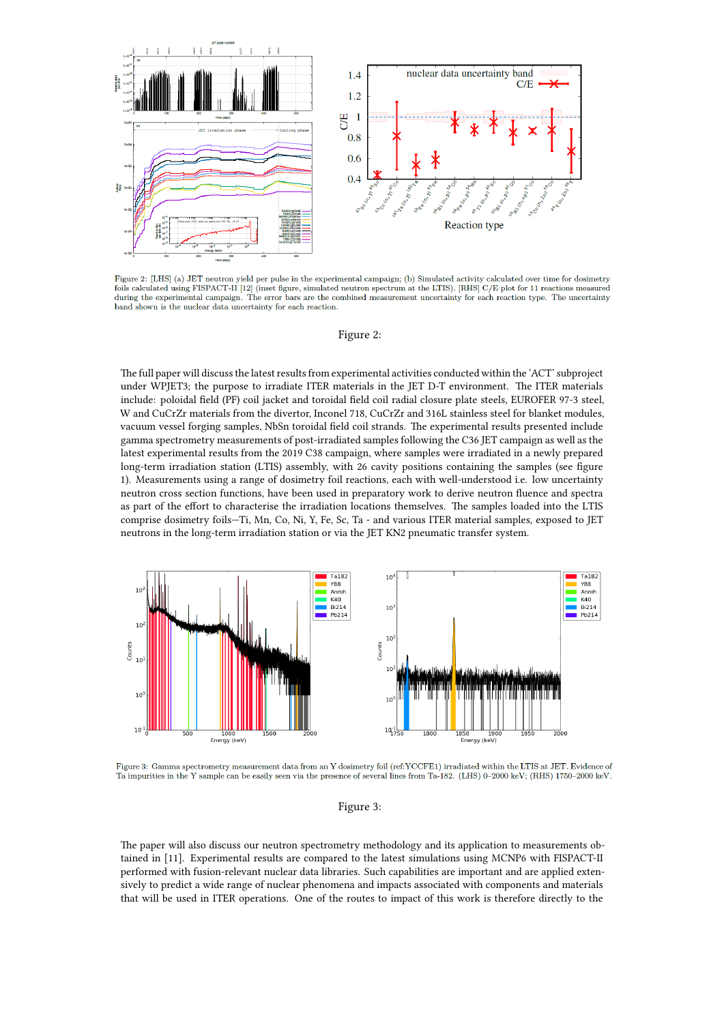

Figure 2: [LHS] (a) JET neutron yield per pulse in the experimental campaign; (b) Simulated activity calculated over time for dosimetry r space at earning the experimental campaign. The error bars are the combined measurement uncertainty for each reaction smeasured<br>during the experimental campaign. The error bars are the combined measurement uncertainty fo band shown is the nuclear data uncertainty for each reaction.

#### Figure 2:

The full paper will discuss the latest results from experimental activities conducted within the 'ACT' subproject under WPJET3; the purpose to irradiate ITER materials in the JET D-T environment. The ITER materials include: poloidal field (PF) coil jacket and toroidal field coil radial closure plate steels, EUROFER 97-3 steel, W and CuCrZr materials from the divertor, Inconel 718, CuCrZr and 316L stainless steel for blanket modules, vacuum vessel forging samples, NbSn toroidal field coil strands. The experimental results presented include gamma spectrometry measurements of post-irradiated samples following the C36 JET campaign as well as the latest experimental results from the 2019 C38 campaign, where samples were irradiated in a newly prepared long-term irradiation station (LTIS) assembly, with 26 cavity positions containing the samples (see figure 1). Measurements using a range of dosimetry foil reactions, each with well-understood i.e. low uncertainty neutron cross section functions, have been used in preparatory work to derive neutron fluence and spectra as part of the effort to characterise the irradiation locations themselves. The samples loaded into the LTIS comprise dosimetry foils—Ti, Mn, Co, Ni, Y, Fe, Sc, Ta - and various ITER material samples, exposed to JET neutrons in the long-term irradiation station or via the JET KN2 pneumatic transfer system.



Figure 3: Gamma spectrometry measurement data from an Y dosimetry foil (ref:YCCFE1) irradiated within the LTIS at JET. Evidence of Ta impurities in the Y sample can be easily seen via the presence of several lines from Ta-182. (LHS) 0-2000 keV; (RHS) 1750-2000 keV.

#### Figure 3:

The paper will also discuss our neutron spectrometry methodology and its application to measurements obtained in [11]. Experimental results are compared to the latest simulations using MCNP6 with FISPACT-II performed with fusion-relevant nuclear data libraries. Such capabilities are important and are applied extensively to predict a wide range of nuclear phenomena and impacts associated with components and materials that will be used in ITER operations. One of the routes to impact of this work is therefore directly to the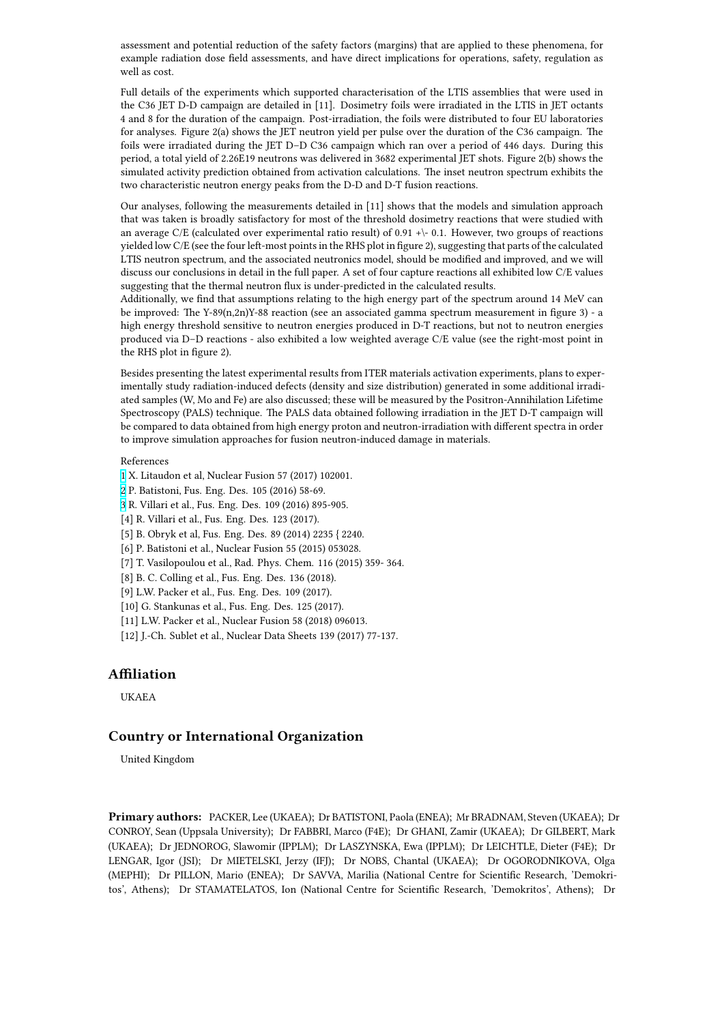example radiation dose field assessments, and have direct implications for operations, safety, regulation as well as cost.

Full details of the experiments which supported characterisation of the LTIS assemblies that were used in the C36 JET D-D campaign are detailed in [11]. Dosimetry foils were irradiated in the LTIS in JET octants 4 and 8 for the duration of the campaign. Post-irradiation, the foils were distributed to four EU laboratories for analyses. Figure 2(a) shows the JET neutron yield per pulse over the duration of the C36 campaign. The foils were irradiated during the JET D–D C36 campaign which ran over a period of 446 days. During this period, a total yield of 2.26E19 neutrons was delivered in 3682 experimental JET shots. Figure 2(b) shows the simulated activity prediction obtained from activation calculations. The inset neutron spectrum exhibits the two characteristic neutron energy peaks from the D-D and D-T fusion reactions.

Our analyses, following the measurements detailed in [11] shows that the models and simulation approach that was taken is broadly satisfactory for most of the threshold dosimetry reactions that were studied with an average C/E (calculated over experimental ratio result) of 0.91 + $\backslash$ -0.1. However, two groups of reactions yielded low C/E (see the four left-most points in the RHS plot in figure 2), suggesting that parts of the calculated LTIS neutron spectrum, and the associated neutronics model, should be modified and improved, and we will discuss our conclusions in detail in the full paper. A set of four capture reactions all exhibited low C/E values suggesting that the thermal neutron flux is under-predicted in the calculated results.

Additionally, we find that assumptions relating to the high energy part of the spectrum around 14 MeV can be improved: The Y-89(n,2n)Y-88 reaction (see an associated gamma spectrum measurement in figure 3) - a high energy threshold sensitive to neutron energies produced in D-T reactions, but not to neutron energies produced via D–D reactions - also exhibited a low weighted average C/E value (see the right-most point in the RHS plot in figure 2).

Besides presenting the latest experimental results from ITER materials activation experiments, plans to experimentally study radiation-induced defects (density and size distribution) generated in some additional irradiated samples (W, Mo and Fe) are also discussed; these will be measured by the Positron-Annihilation Lifetime Spectroscopy (PALS) technique. The PALS data obtained following irradiation in the JET D-T campaign will be compared to data obtained from high energy proton and neutron-irradiation with different spectra in order to improve simulation approaches for fusion neutron-induced damage in materials.

### References

- 1 X. Litaudon et al, Nuclear Fusion 57 (2017) 102001.
- 2 P. Batistoni, Fus. Eng. Des. 105 (2016) 58-69.
- 3 R. Villari et al., Fus. Eng. Des. 109 (2016) 895-905.
- [4] R. Villari et al., Fus. Eng. Des. 123 (2017).
- [\[5](https://ccfe.ukaea.uk/wp-content/uploads/2020/03/Packer_fig1.png)] B. Obryk et al, Fus. Eng. Des. 89 (2014) 2235 { 2240.
- [\[6](https://ccfe.ukaea.uk/wp-content/uploads/2020/03/Packer_fig2.png)] P. Batistoni et al., Nuclear Fusion 55 (2015) 053028.
- [\[7](https://ccfe.ukaea.uk/wp-content/uploads/2020/03/Packer_fig3.png)] T. Vasilopoulou et al., Rad. Phys. Chem. 116 (2015) 359- 364.
- [8] B. C. Colling et al., Fus. Eng. Des. 136 (2018).
- [9] L.W. Packer et al., Fus. Eng. Des. 109 (2017).
- [10] G. Stankunas et al., Fus. Eng. Des. 125 (2017).
- [11] L.W. Packer et al., Nuclear Fusion 58 (2018) 096013.
- [12] J.-Ch. Sublet et al., Nuclear Data Sheets 139 (2017) 77-137.

## **Affiliation**

UKAEA

## **Country or International Organization**

United Kingdom

**Primary authors:** PACKER, Lee (UKAEA); Dr BATISTONI, Paola (ENEA); Mr BRADNAM, Steven (UKAEA); Dr CONROY, Sean (Uppsala University); Dr FABBRI, Marco (F4E); Dr GHANI, Zamir (UKAEA); Dr GILBERT, Mark (UKAEA); Dr JEDNOROG, Slawomir (IPPLM); Dr LASZYNSKA, Ewa (IPPLM); Dr LEICHTLE, Dieter (F4E); Dr LENGAR, Igor (JSI); Dr MIETELSKI, Jerzy (IFJ); Dr NOBS, Chantal (UKAEA); Dr OGORODNIKOVA, Olga (MEPHI); Dr PILLON, Mario (ENEA); Dr SAVVA, Marilia (National Centre for Scientific Research, 'Demokritos', Athens); Dr STAMATELATOS, Ion (National Centre for Scientific Research, 'Demokritos', Athens); Dr